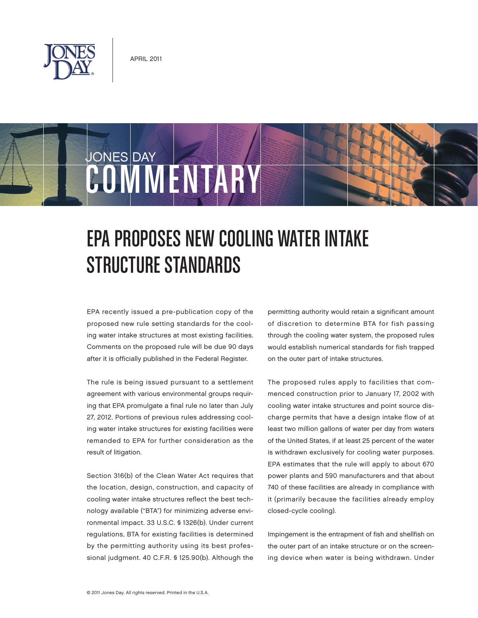

JONES DAY

## COMMENTARY

## EPA PROPOSES NEW COOLING WATER INTAKE Structure Standards

EPA recently issued a pre-publication copy of the proposed new rule setting standards for the cooling water intake structures at most existing facilities. Comments on the proposed rule will be due 90 days after it is officially published in the Federal Register.

The rule is being issued pursuant to a settlement agreement with various environmental groups requiring that EPA promulgate a final rule no later than July 27, 2012. Portions of previous rules addressing cooling water intake structures for existing facilities were remanded to EPA for further consideration as the result of litigation.

Section 316(b) of the Clean Water Act requires that the location, design, construction, and capacity of cooling water intake structures reflect the best technology available ("BTA") for minimizing adverse environmental impact. 33 U.S.C. § 1326(b). Under current regulations, BTA for existing facilities is determined by the permitting authority using its best professional judgment. 40 C.F.R. § 125.90(b). Although the permitting authority would retain a significant amount of discretion to determine BTA for fish passing through the cooling water system, the proposed rules would establish numerical standards for fish trapped on the outer part of intake structures.

The proposed rules apply to facilities that commenced construction prior to January 17, 2002 with cooling water intake structures and point source discharge permits that have a design intake flow of at least two million gallons of water per day from waters of the United States, if at least 25 percent of the water is withdrawn exclusively for cooling water purposes. EPA estimates that the rule will apply to about 670 power plants and 590 manufacturers and that about 740 of these facilities are already in compliance with it (primarily because the facilities already employ closed-cycle cooling).

Impingement is the entrapment of fish and shellfish on the outer part of an intake structure or on the screening device when water is being withdrawn. Under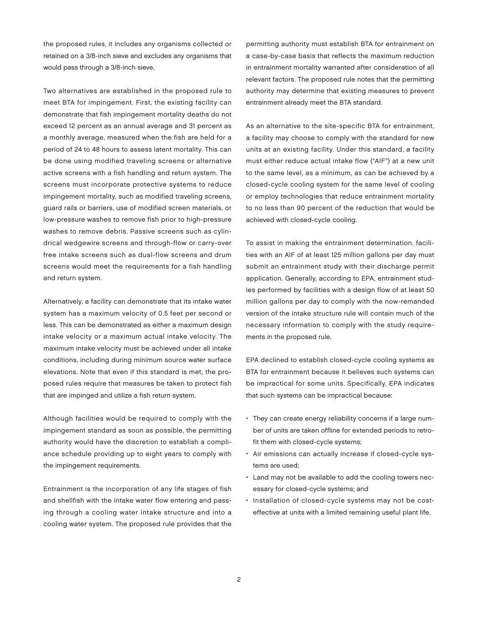the proposed rules, it includes any organisms collected or retained on a 3/8-inch sieve and excludes any organisms that would pass through a 3/8-inch sieve.

Two alternatives are established in the proposed rule to meet BTA for impingement. First, the existing facility can demonstrate that fish impingement mortality deaths do not exceed 12 percent as an annual average and 31 percent as a monthly average, measured when the fish are held for a period of 24 to 48 hours to assess latent mortality. This can be done using modified traveling screens or alternative active screens with a fish handling and return system. The screens must incorporate protective systems to reduce impingement mortality, such as modified traveling screens, guard rails or barriers, use of modified screen materials, or low-pressure washes to remove fish prior to high-pressure washes to remove debris. Passive screens such as cylindrical wedgewire screens and through-flow or carry-over free intake screens such as dual-flow screens and drum screens would meet the requirements for a fish handling and return system.

Alternatively, a facility can demonstrate that its intake water system has a maximum velocity of 0.5 feet per second or less. This can be demonstrated as either a maximum design intake velocity or a maximum actual intake velocity. The maximum intake velocity must be achieved under all intake conditions, including during minimum source water surface elevations. Note that even if this standard is met, the proposed rules require that measures be taken to protect fish that are impinged and utilize a fish return system.

Although facilities would be required to comply with the impingement standard as soon as possible, the permitting authority would have the discretion to establish a compliance schedule providing up to eight years to comply with the impingement requirements.

Entrainment is the incorporation of any life stages of fish and shellfish with the intake water flow entering and passing through a cooling water intake structure and into a cooling water system. The proposed rule provides that the

permitting authority must establish BTA for entrainment on a case-by-case basis that reflects the maximum reduction in entrainment mortality warranted after consideration of all relevant factors. The proposed rule notes that the permitting authority may determine that existing measures to prevent entrainment already meet the BTA standard.

As an alternative to the site-specific BTA for entrainment, a facility may choose to comply with the standard for new units at an existing facility. Under this standard, a facility must either reduce actual intake flow ("AIF") at a new unit to the same level, as a minimum, as can be achieved by a closed-cycle cooling system for the same level of cooling or employ technologies that reduce entrainment mortality to no less than 90 percent of the reduction that would be achieved with closed-cycle cooling.

To assist in making the entrainment determination, facilities with an AIF of at least 125 million gallons per day must submit an entrainment study with their discharge permit application. Generally, according to EPA, entrainment studies performed by facilities with a design flow of at least 50 million gallons per day to comply with the now-remanded version of the intake structure rule will contain much of the necessary information to comply with the study requirements in the proposed rule.

EPA declined to establish closed-cycle cooling systems as BTA for entrainment because it believes such systems can be impractical for some units. Specifically, EPA indicates that such systems can be impractical because:

- They can create energy reliability concerns if a large number of units are taken offline for extended periods to retrofit them with closed-cycle systems;
- Air emissions can actually increase if closed-cycle systems are used;
- Land may not be available to add the cooling towers necessary for closed-cycle systems; and
- Installation of closed-cycle systems may not be costeffective at units with a limited remaining useful plant life.